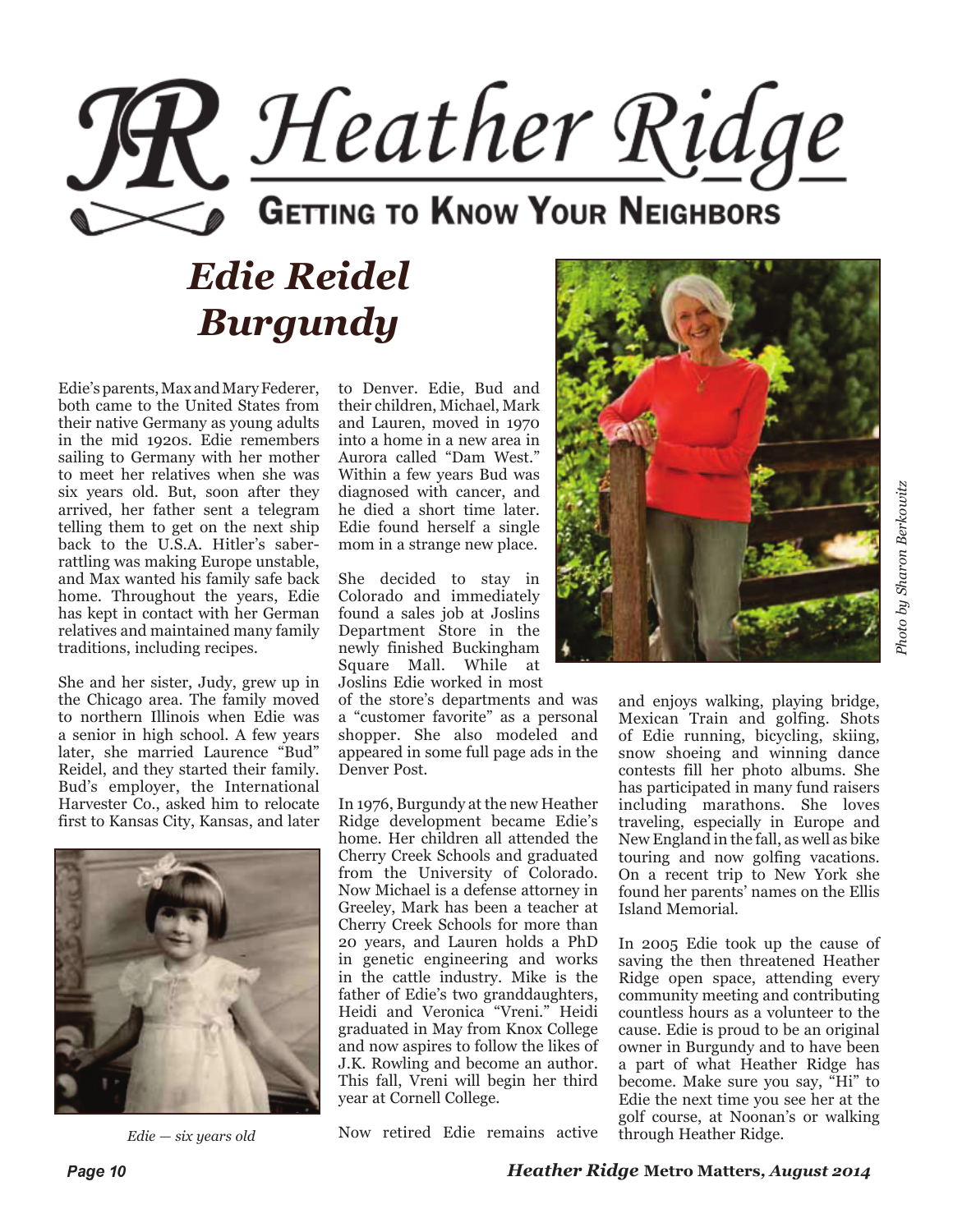

# *Edie Reidel Burgundy*

Edie's parents, Max and Mary Federer, both came to the United States from their native Germany as young adults in the mid 1920s. Edie remembers sailing to Germany with her mother to meet her relatives when she was six years old. But, soon after they arrived, her father sent a telegram telling them to get on the next ship back to the U.S.A. Hitler's saberrattling was making Europe unstable, and Max wanted his family safe back home. Throughout the years, Edie has kept in contact with her German relatives and maintained many family traditions, including recipes.

She and her sister, Judy, grew up in the Chicago area. The family moved to northern Illinois when Edie was a senior in high school. A few years later, she married Laurence "Bud" Reidel, and they started their family. Bud's employer, the International Harvester Co., asked him to relocate first to Kansas City, Kansas, and later



to Denver. Edie, Bud and their children, Michael, Mark and Lauren, moved in 1970 into a home in a new area in Aurora called "Dam West." Within a few years Bud was diagnosed with cancer, and he died a short time later. Edie found herself a single mom in a strange new place.

She decided to stay in Colorado and immediately found a sales job at Joslins Department Store in the newly finished Buckingham Square Mall. While at Joslins Edie worked in most

of the store's departments and was a "customer favorite" as a personal shopper. She also modeled and appeared in some full page ads in the Denver Post.

In 1976, Burgundy at the new Heather Ridge development became Edie's home. Her children all attended the Cherry Creek Schools and graduated from the University of Colorado. Now Michael is a defense attorney in Greeley, Mark has been a teacher at Cherry Creek Schools for more than 20 years, and Lauren holds a PhD in genetic engineering and works in the cattle industry. Mike is the father of Edie's two granddaughters, Heidi and Veronica "Vreni." Heidi graduated in May from Knox College and now aspires to follow the likes of J.K. Rowling and become an author. This fall, Vreni will begin her third year at Cornell College.

Now retired Edie remains active *Edie — six years old* through Heather Ridge.



Photo by Sharon Berkowitz *Photo by Sharon Berkowitz*

and enjoys walking, playing bridge, Mexican Train and golfing. Shots of Edie running, bicycling, skiing, snow shoeing and winning dance contests fill her photo albums. She has participated in many fund raisers including marathons. She loves traveling, especially in Europe and New England in the fall, as well as bike touring and now golfing vacations. On a recent trip to New York she found her parents' names on the Ellis Island Memorial.

In 2005 Edie took up the cause of saving the then threatened Heather Ridge open space, attending every community meeting and contributing countless hours as a volunteer to the cause. Edie is proud to be an original owner in Burgundy and to have been a part of what Heather Ridge has become. Make sure you say, "Hi" to Edie the next time you see her at the golf course, at Noonan's or walking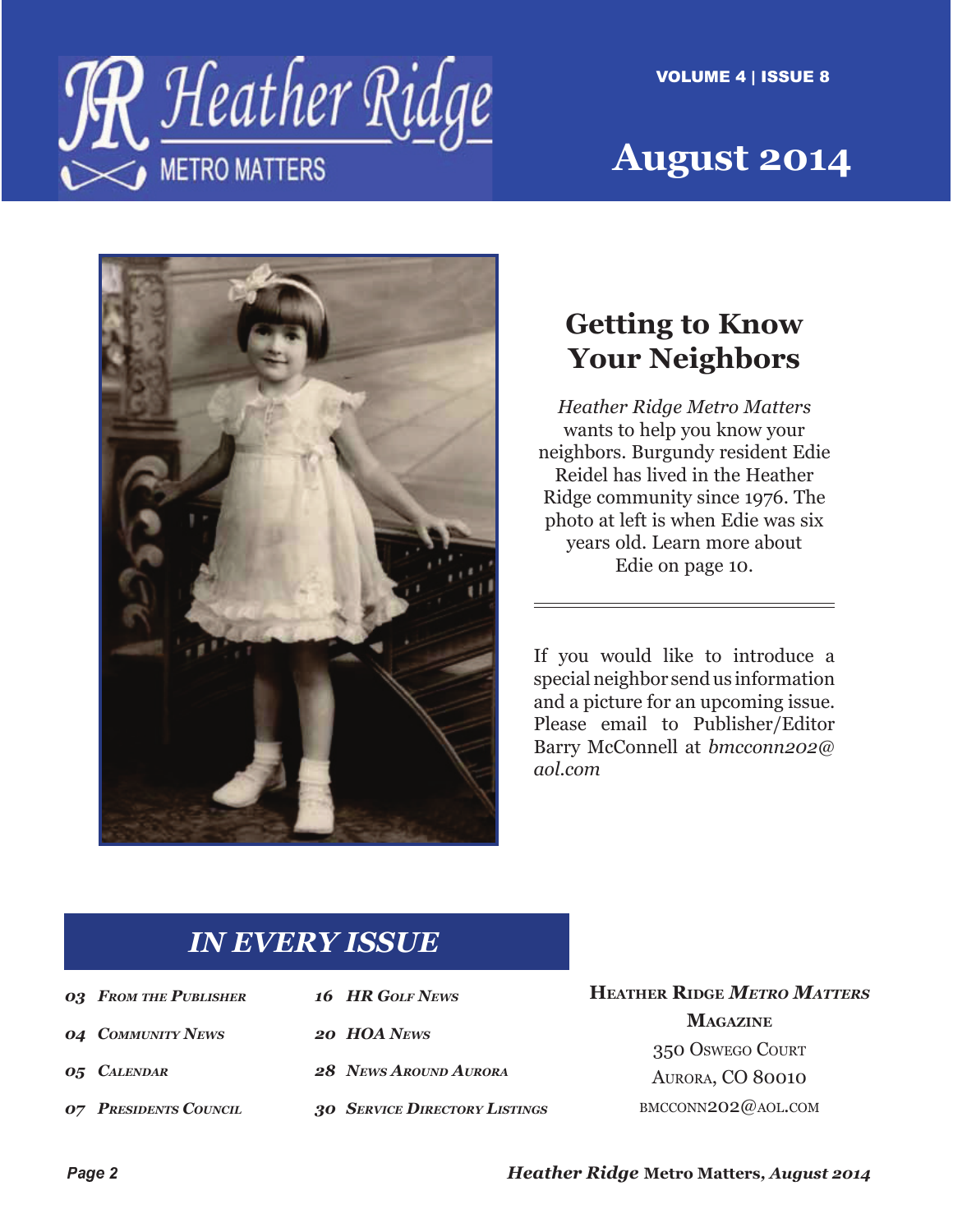



# **August 2014**



## **Getting to Know Your Neighbors**

*Heather Ridge Metro Matters*  wants to help you know your neighbors. Burgundy resident Edie Reidel has lived in the Heather Ridge community since 1976. The photo at left is when Edie was six years old. Learn more about Edie on page 10.

If you would like to introduce a special neighbor send us information and a picture for an upcoming issue. Please email to Publisher/Editor Barry McConnell at *bmcconn202@ aol.com*

### *IN EVERY ISSUE*

| <b>03 FROM THE PUBLISHER</b> | 16 HR GOLF NEWS                      |
|------------------------------|--------------------------------------|
| <b>04 COMMUNITY NEWS</b>     | 20 HOA NEWS                          |
| <b>05 CALENDAR</b>           | 28 NEWS AROUND AURORA                |
| <b>07 PRESIDENTS COUNCIL</b> | <b>30 SERVICE DIRECTORY LISTINGS</b> |

**HEATHER RIDGE** *METRO MATTERS* **MAGAZINE** 350 OSWEGO COURT AURORA, CO 80010 BMCCONN202@AOL.COM

*Heather Ridge* **Metro Matters***, August 2014*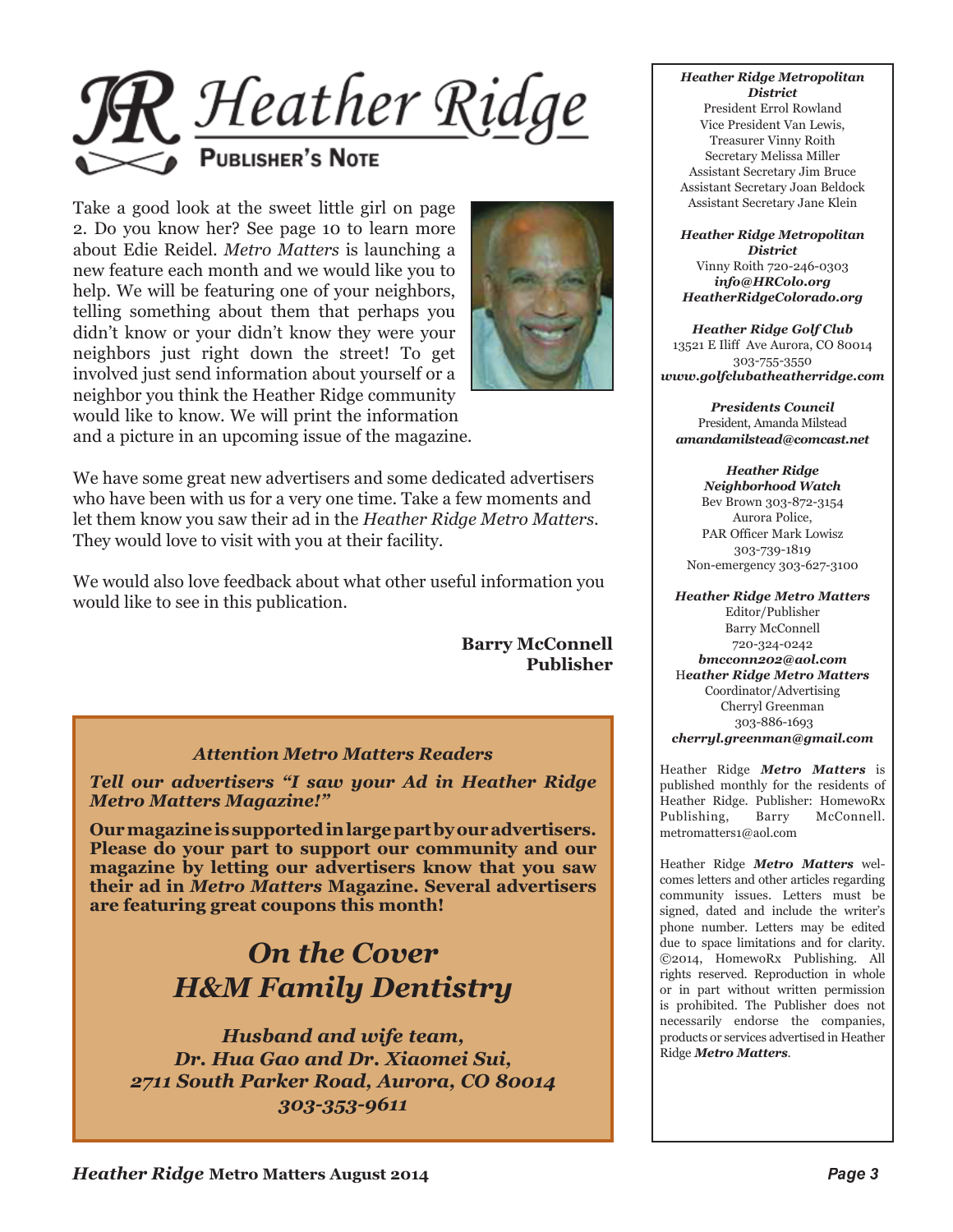

Take a good look at the sweet little girl on page 2. Do you know her? See page 10 to learn more about Edie Reidel. *Metro Matters* is launching a new feature each month and we would like you to help. We will be featuring one of your neighbors, telling something about them that perhaps you didn't know or your didn't know they were your neighbors just right down the street! To get involved just send information about yourself or a neighbor you think the Heather Ridge community would like to know. We will print the information and a picture in an upcoming issue of the magazine.



We have some great new advertisers and some dedicated advertisers who have been with us for a very one time. Take a few moments and let them know you saw their ad in the *Heather Ridge Metro Matters*. They would love to visit with you at their facility.

We would also love feedback about what other useful information you would like to see in this publication.

> **Barry McConnell Publisher**

#### *Attention Metro Matters Readers*

*Tell our advertisers "I saw your Ad in Heather Ridge Metro Matters Magazine!"*

**Our magazine is supported in large part by our advertisers. Please do your part to support our community and our magazine by letting our advertisers know that you saw their ad in** *Metro Matters* **Magazine. Several advertisers are featuring great coupons this month!**

## *On the Cover H&M Family Dentistry*

*Husband and wife team, Dr. Hua Gao and Dr. Xiaomei Sui, 2711 South Parker Road, Aurora, CO 80014 303-353-9611*

#### *Heather Ridge Metropolitan District*

President Errol Rowland Vice President Van Lewis, Treasurer Vinny Roith Secretary Melissa Miller Assistant Secretary Jim Bruce Assistant Secretary Joan Beldock Assistant Secretary Jane Klein

*Heather Ridge Metropolitan District* Vinny Roith 720-246-0303 *info@HRColo.org HeatherRidgeColorado.org*

*Heather Ridge Golf Club* 13521 E Iliff Ave Aurora, CO 80014 303-755-3550 *www.golfclubatheatherridge.com*

*Presidents Council* President, Amanda Milstead *amandamilstead@comcast.net*

*Heather Ridge Neighborhood Watch* Bev Brown 303-872-3154 Aurora Police, PAR Officer Mark Lowisz 303-739-1819 Non-emergency 303-627-3100

*Heather Ridge Metro Matters* Editor/Publisher Barry McConnell 720-324-0242 *bmcconn202@aol.com* H*eather Ridge Metro Matters* Coordinator/Advertising Cherryl Greenman 303-886-1693 *cherryl.greenman@gmail.com* 

Heather Ridge *Metro Matters* is published monthly for the residents of Heather Ridge. Publisher: HomewoRx Publishing, Barry McConnell. metromatters1@aol.com

Heather Ridge *Metro Matters* welcomes letters and other articles regarding community issues. Letters must be signed, dated and include the writer's phone number. Letters may be edited due to space limitations and for clarity. ©2014, HomewoRx Publishing. All rights reserved. Reproduction in whole or in part without written permission is prohibited. The Publisher does not necessarily endorse the companies, products or services advertised in Heather Ridge *Metro Matters*.